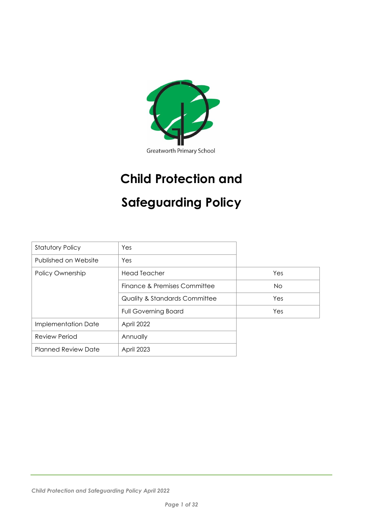

# **Child Protection and Safeguarding Policy**

| <b>Statutory Policy</b>    | Yes                                      |           |
|----------------------------|------------------------------------------|-----------|
| Published on Website       | Yes                                      |           |
| <b>Policy Ownership</b>    | <b>Head Teacher</b>                      | Yes       |
|                            | Finance & Premises Committee             | <b>No</b> |
|                            | <b>Quality &amp; Standards Committee</b> | Yes       |
|                            | <b>Full Governing Board</b>              | Yes       |
| Implementation Date        | April 2022                               |           |
| Review Period              | Annually                                 |           |
| <b>Planned Review Date</b> | April 2023                               |           |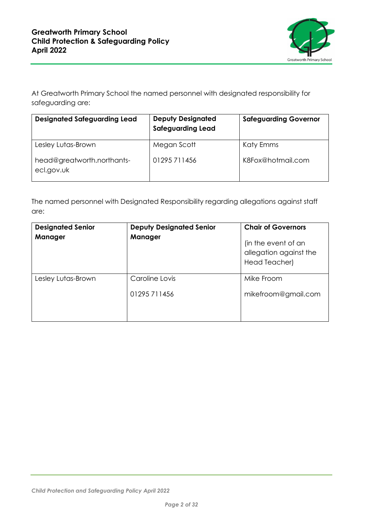

At Greatworth Primary School the named personnel with designated responsibility for safeguarding are:

| <b>Designated Safeguarding Lead</b>      | <b>Deputy Designated</b><br><b>Safeguarding Lead</b> | <b>Safeguarding Governor</b> |
|------------------------------------------|------------------------------------------------------|------------------------------|
| Lesley Lutas-Brown                       | Megan Scott                                          | Katy Emms                    |
| head@greatworth.northants-<br>ecl.gov.uk | 01295 711456                                         | K8Fox@hotmail.com            |

The named personnel with Designated Responsibility regarding allegations against staff are:

| <b>Designated Senior</b><br><b>Manager</b> | <b>Deputy Designated Senior</b><br><b>Manager</b> | <b>Chair of Governors</b><br>(in the event of an<br>allegation against the<br>Head Teacher) |
|--------------------------------------------|---------------------------------------------------|---------------------------------------------------------------------------------------------|
| Lesley Lutas-Brown                         | Caroline Lovis<br>01295 711456                    | Mike Froom<br>mikefroom@gmail.com                                                           |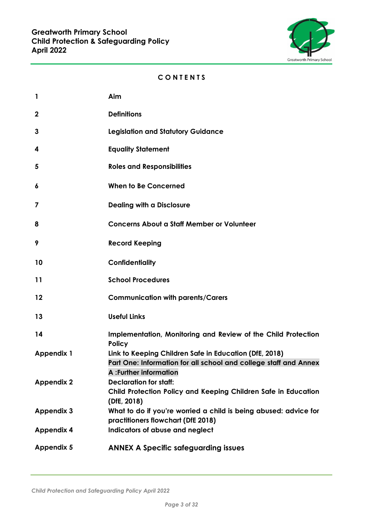

#### **C O N T E N T S**

| $\mathbf{1}$      | Aim                                                                                                                                                  |
|-------------------|------------------------------------------------------------------------------------------------------------------------------------------------------|
| $\mathbf{2}$      | <b>Definitions</b>                                                                                                                                   |
| 3                 | <b>Legislation and Statutory Guidance</b>                                                                                                            |
| 4                 | <b>Equality Statement</b>                                                                                                                            |
| 5                 | <b>Roles and Responsibilities</b>                                                                                                                    |
| 6                 | <b>When to Be Concerned</b>                                                                                                                          |
| 7                 | <b>Dealing with a Disclosure</b>                                                                                                                     |
| 8                 | <b>Concerns About a Staff Member or Volunteer</b>                                                                                                    |
| 9                 | <b>Record Keeping</b>                                                                                                                                |
| 10                | Confidentiality                                                                                                                                      |
| 11                | <b>School Procedures</b>                                                                                                                             |
| 12                | <b>Communication with parents/Carers</b>                                                                                                             |
| 13                | <b>Useful Links</b>                                                                                                                                  |
| 14                | Implementation, Monitoring and Review of the Child Protection<br><b>Policy</b>                                                                       |
| <b>Appendix 1</b> | Link to Keeping Children Safe in Education (DfE, 2018)<br>Part One: Information for all school and college staff and Annex<br>A: Further information |
| <b>Appendix 2</b> | <b>Declaration for staff:</b><br>Child Protection Policy and Keeping Children Safe in Education<br>(DfE, 2018)                                       |
| <b>Appendix 3</b> | What to do if you're worried a child is being abused: advice for<br>practitioners flowchart (DfE 2018)                                               |
| <b>Appendix 4</b> | Indicators of abuse and neglect                                                                                                                      |
| <b>Appendix 5</b> | <b>ANNEX A Specific safeguarding issues</b>                                                                                                          |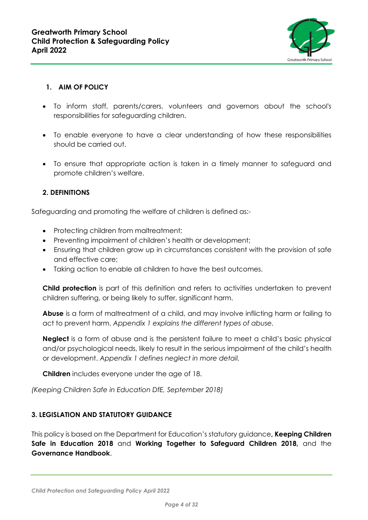

## **1. AIM OF POLICY**

- To inform staff, parents/carers, volunteers and governors about the school's responsibilities for safeguarding children.
- To enable everyone to have a clear understanding of how these responsibilities should be carried out.
- To ensure that appropriate action is taken in a timely manner to safeguard and promote children's welfare.

## **2. DEFINITIONS**

Safeguarding and promoting the welfare of children is defined as:-

- Protecting children from maltreatment;
- Preventing impairment of children's health or development;
- Ensuring that children grow up in circumstances consistent with the provision of safe and effective care;
- Taking action to enable all children to have the best outcomes.

**Child protection** is part of this definition and refers to activities undertaken to prevent children suffering, or being likely to suffer, significant harm.

**Abuse** is a form of maltreatment of a child, and may involve inflicting harm or failing to act to prevent harm. *Appendix 1 explains the different types of abuse.*

**Neglect** is a form of abuse and is the persistent failure to meet a child's basic physical and/or psychological needs, likely to result in the serious impairment of the child's health or development. *Appendix 1 defines neglect in more detail.*

**Children** includes everyone under the age of 18.

*(Keeping Children Safe in Education DfE, September 2018)*

## **3. LEGISLATION AND STATUTORY GUIDANCE**

This policy is based on the Department for Education's statutory guidance**, Keeping Children Safe in Education 2018** and **Working Together to Safeguard Children 2018,** and the **Governance Handbook**.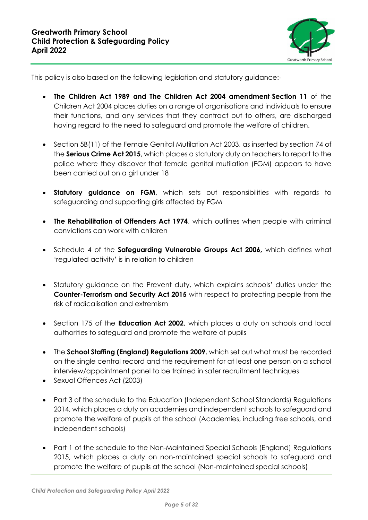

This policy is also based on the following legislation and statutory guidance:-

- **The Children Act 1989 and The Children Act 2004 amendment**-**[Section 11](http://www.legislation.gov.uk/ukpga/2004/31/section/11)** of the Children Act 2004 places duties on a range of organisations and individuals to ensure their functions, and any services that they contract out to others, are discharged having regard to the need to safeguard and promote the welfare of children.
- Section 5B(11) of the Female Genital Mutilation Act 2003, as inserted by section 74 of the **Serious Crime Act 2015**, which places a statutory duty on teachers to report to the police where they discover that female genital mutilation (FGM) appears to have been carried out on a girl under 18
- **Statutory guidance on FGM**, which sets out responsibilities with regards to safeguarding and supporting girls affected by FGM
- **The Rehabilitation of Offenders Act 1974**, which outlines when people with criminal convictions can work with children
- Schedule 4 of the **Safeguarding Vulnerable Groups Act 2006,** which defines what 'regulated activity' is in relation to children
- Statutory guidance on the Prevent duty, which explains schools' duties under the **Counter-Terrorism and Security Act 2015** with respect to protecting people from the risk of radicalisation and extremism
- Section 175 of the **Education Act 2002**, which places a duty on schools and local authorities to safeguard and promote the welfare of pupils
- The **School Staffing (England) Regulations 2009**, which set out what must be recorded on the single central record and the requirement for at least one person on a school interview/appointment panel to be trained in safer recruitment techniques
- Sexual Offences Act (2003)
- Part 3 of the schedule to the Education (Independent School Standards) Regulations 2014, which places a duty on academies and independent schools to safeguard and promote the welfare of pupils at the school (Academies, including free schools, and independent schools)
- Part 1 of the schedule to the Non-Maintained Special Schools (England) Regulations 2015, which places a duty on non-maintained special schools to safeguard and promote the welfare of pupils at the school (Non-maintained special schools)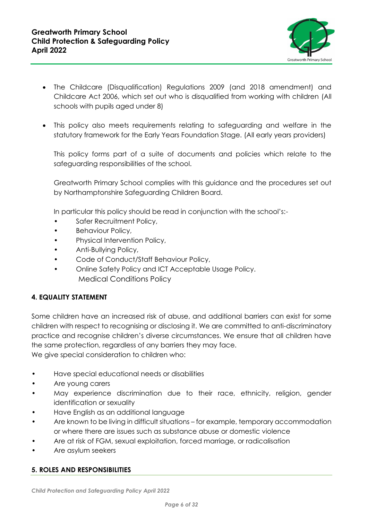

- The Childcare (Disqualification) Regulations 2009 (and 2018 amendment) and Childcare Act 2006, which set out who is disqualified from working with children (All schools with pupils aged under 8)
- This policy also meets requirements relating to safeguarding and welfare in the statutory framework for the Early Years Foundation Stage. (All early years providers)

This policy forms part of a suite of documents and policies which relate to the safeguarding responsibilities of the school.

Greatworth Primary School complies with this guidance and the procedures set out by Northamptonshire Safeguarding Children Board.

In particular this policy should be read in conjunction with the school's:-

- Safer Recruitment Policy,
- Behaviour Policy,
- Physical Intervention Policy,
- Anti-Bullying Policy,
- Code of Conduct/Staff Behaviour Policy,
- Online Safety Policy and ICT Acceptable Usage Policy. Medical Conditions Policy

## **4. EQUALITY STATEMENT**

Some children have an increased risk of abuse, and additional barriers can exist for some children with respect to recognising or disclosing it. We are committed to anti-discriminatory practice and recognise children's diverse circumstances. We ensure that all children have the same protection, regardless of any barriers they may face.

We give special consideration to children who:

- Have special educational needs or disabilities
- Are young carers
- May experience discrimination due to their race, ethnicity, religion, gender identification or sexuality
- Have English as an additional language
- Are known to be living in difficult situations for example, temporary accommodation or where there are issues such as substance abuse or domestic violence
- Are at risk of FGM, sexual exploitation, forced marriage, or radicalisation
- Are asylum seekers

## **5. ROLES AND RESPONSIBILITIES**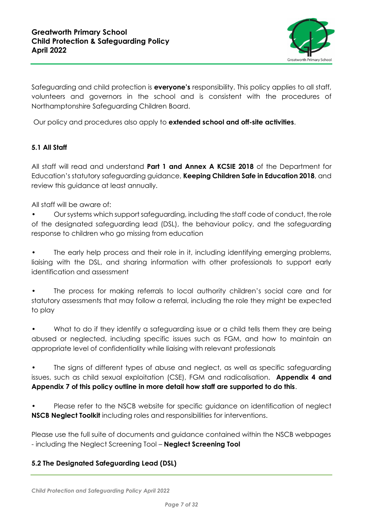

Safeguarding and child protection is **everyone's** responsibility. This policy applies to all staff, volunteers and governors in the school and is consistent with the procedures of Northamptonshire Safeguarding Children Board.

Our policy and procedures also apply to **extended school and off-site activities**.

## **5.1 All Staff**

All staff will read and understand **[Part 1 and Annex A KCSIE 2018](https://assets.publishing.service.gov.uk/government/uploads/system/uploads/attachment_data/file/737606/Keeping_children_safe_in_education_part_1_Sept_2018.pdf)** of the Department for Education's statutory safeguarding guidance, **[Keeping Children Safe in Education 2018](https://www.gov.uk/government/publications/keeping-children-safe-in-education--2)**, and review this guidance at least annually.

All staff will be aware of:

• Our systems which support safeguarding, including the staff code of conduct, the role of the designated safeguarding lead (DSL), the behaviour policy, and the safeguarding response to children who go missing from education

The early help process and their role in it, including identifying emerging problems, liaising with the DSL, and sharing information with other professionals to support early identification and assessment

• The process for making referrals to local authority children's social care and for statutory assessments that may follow a referral, including the role they might be expected to play

What to do if they identify a safeguarding issue or a child tells them they are being abused or neglected, including specific issues such as FGM, and how to maintain an appropriate level of confidentiality while liaising with relevant professionals

The signs of different types of abuse and neglect, as well as specific safeguarding issues, such as child sexual exploitation (CSE), FGM and radicalisation. **Appendix 4 and Appendix 7 of this policy outline in more detail how staff are supported to do this**.

Please refer to the NSCB website for specific guidance on identification of neglect **[NSCB Neglect Toolkit](http://www.northamptonshirescb.org.uk/about-northamptonshire-safeguarding-children-board/publications/neglect-tookit/)** including roles and responsibilities for interventions.

Please use the full suite of documents and guidance contained within the NSCB webpages - including the Neglect Screening Tool – **[Neglect Screening Tool](http://www.northamptonshirescb.org.uk/assets/legacy/getasset?id=fAAyADMANgB8AHwAVAByAHUAZQB8AHwAMAB8AA2)**

## **5.2 The Designated Safeguarding Lead (DSL)**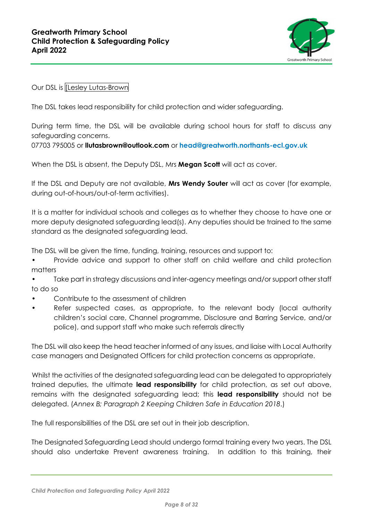

## Our DSL is **[Lesley Lutas-Brown**]

The DSL takes lead responsibility for child protection and wider safeguarding.

During term time, the DSL will be available during school hours for staff to discuss any safeguarding concerns.

07703 795005 or **[llutasbrown@outlook.com](mailto:llutasbrown@outlook.com)** or **[head@greatworth.northants-ecl.gov.uk](mailto:head@greatworth.northants-ecl.gov.uk)**

When the DSL is absent, the Deputy DSL, Mrs **Megan Scott** will act as cover.

If the DSL and Deputy are not available, **Mrs Wendy Souter** will act as cover (for example, during out-of-hours/out-of-term activities).

It is a matter for individual schools and colleges as to whether they choose to have one or more deputy designated safeguarding lead(s). Any deputies should be trained to the same standard as the designated safeguarding lead.

The DSL will be given the time, funding, training, resources and support to:

• Provide advice and support to other staff on child welfare and child protection matters

• Take part in strategy discussions and inter-agency meetings and/or support other staff to do so

- Contribute to the assessment of children
- Refer suspected cases, as appropriate, to the relevant body (local authority children's social care, Channel programme, Disclosure and Barring Service, and/or police), and support staff who make such referrals directly

The DSL will also keep the head teacher informed of any issues, and liaise with Local Authority case managers and Designated Officers for child protection concerns as appropriate.

Whilst the activities of the designated safeguarding lead can be delegated to appropriately trained deputies, the ultimate **lead responsibility** for child protection, as set out above, remains with the designated safeguarding lead; this **lead responsibility** should not be delegated. (*Annex B; Paragraph 2 Keeping Children Safe in Education 2018*.)

The full responsibilities of the DSL are set out in their job description.

The Designated Safeguarding Lead should undergo formal training every two years. The DSL should also undertake Prevent awareness training. In addition to this training, their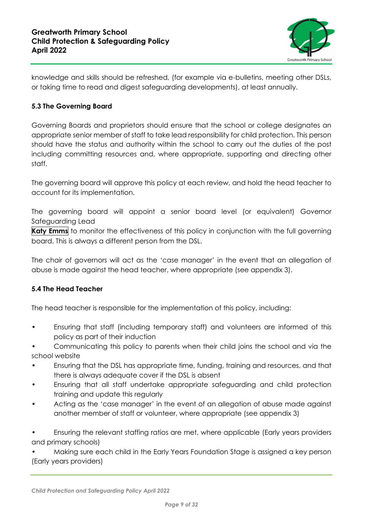

knowledge and skills should be refreshed, (for example via e-bulletins, meeting other DSLs, or taking time to read and digest safeguarding developments), at least annually.

## **5.3 The Governing Board**

Governing Boards and proprietors should ensure that the school or college designates an appropriate senior member of staff to take lead responsibility for child protection. This person should have the status and authority within the school to carry out the duties of the post including committing resources and, where appropriate, supporting and directing other staff.

The governing board will approve this policy at each review, and hold the head teacher to account for its implementation.

The governing board will appoint a senior board level (or equivalent) Governor Safeguarding Lead

**Katy Emms** to monitor the effectiveness of this policy in conjunction with the full governing board. This is always a different person from the DSL.

The chair of governors will act as the 'case manager' in the event that an allegation of abuse is made against the head teacher, where appropriate (see appendix 3).

## **5.4 The Head Teacher**

The head teacher is responsible for the implementation of this policy, including:

- Ensuring that staff (including temporary staff) and volunteers are informed of this policy as part of their induction
- Communicating this policy to parents when their child joins the school and via the school website
- Ensuring that the DSL has appropriate time, funding, training and resources, and that there is always adequate cover if the DSL is absent
- Ensuring that all staff undertake appropriate safeguarding and child protection training and update this regularly
- Acting as the 'case manager' in the event of an allegation of abuse made against another member of staff or volunteer, where appropriate (see appendix 3)

• Ensuring the relevant staffing ratios are met, where applicable (Early years providers and primary schools)

• Making sure each child in the Early Years Foundation Stage is assigned a key person (Early years providers)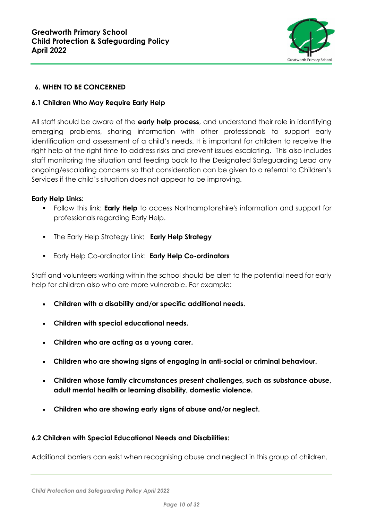

## **6. WHEN TO BE CONCERNED**

### **6.1 Children Who May Require Early Help**

All staff should be aware of the **early help process**, and understand their role in identifying emerging problems, sharing information with other professionals to support early identification and assessment of a child's needs. It is important for children to receive the right help at the right time to address risks and prevent issues escalating. This also includes staff monitoring the situation and feeding back to the Designated Safeguarding Lead any ongoing/escalating concerns so that consideration can be given to a referral to Children's Services if the child's situation does not appear to be improving.

#### **Early Help Links:**

- Follow this link: **[Early Help](https://www3.northamptonshire.gov.uk/councilservices/children-families-education/help-and-protection-for-children/protecting-children-information-for-professionals/Pages/early-help-assessment.aspx)** to access Northamptonshire's information and support for professionals regarding Early Help.
- The Early Help Strategy Link: **[Early Help Strategy](http://www.northamptonshirescb.org.uk/social-care/early-help/early-help-strategy/)**
- Early Help Co-ordinator Link: **[Early Help Co-ordinators](http://www.northamptonshirescb.org.uk/who-is-who/eh-coordinators/)**

Staff and volunteers working within the school should be alert to the potential need for early help for children also who are more vulnerable. For example:

- **Children with a disability and/or specific additional needs.**
- **Children with special educational needs.**
- **Children who are acting as a young carer.**
- **Children who are showing signs of engaging in anti-social or criminal behaviour.**
- **Children whose family circumstances present challenges, such as substance abuse, adult mental health or learning disability, domestic violence.**
- **Children who are showing early signs of abuse and/or neglect.**

#### **6.2 Children with Special Educational Needs and Disabilities:**

Additional barriers can exist when recognising abuse and neglect in this group of children.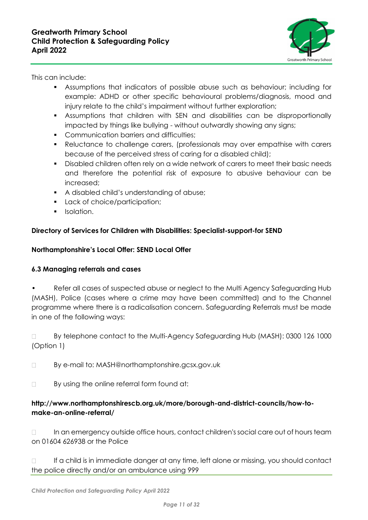

This can include:

- Assumptions that indicators of possible abuse such as behaviour; including for example: ADHD or other specific behavioural problems/diagnosis, mood and injury relate to the child's impairment without further exploration;
- Assumptions that children with SEN and disabilities can be disproportionally impacted by things like bullying - without outwardly showing any signs;
- **•** Communication barriers and difficulties;
- Reluctance to challenge carers, (professionals may over empathise with carers because of the perceived stress of caring for a disabled child);
- Disabled children often rely on a wide network of carers to meet their basic needs and therefore the potential risk of exposure to abusive behaviour can be increased;
- A disabled child's understanding of abuse;
- Lack of choice/participation;
- **■** Isolation.

## **Directory of Services for Children with Disabilities: [Specialist-support-for SEND](http://www3.northamptonshire.gov.uk/councilservices/children-families-education/SEND/specialist-support-for-send/Pages/default.aspx)**

## **Northamptonshire's Local Offer: [SEND Local Offer](http://www3.northamptonshire.gov.uk/councilservices/children-families-education/SEND/local-offer)**

## **6.3 Managing referrals and cases**

• Refer all cases of suspected abuse or neglect to the Multi Agency Safeguarding Hub (MASH), Police (cases where a crime may have been committed) and to the Channel programme where there is a radicalisation concern. Safeguarding Referrals must be made in one of the following ways:

By telephone contact to the Multi-Agency Safeguarding Hub (MASH): 0300 126 1000  $\Box$ (Option 1)

By e-mail to: MASH@northamptonshire.gcsx.gov.uk  $\Box$ 

 $\Box$ By using the online referral form found at:

## **[http://www.northamptonshirescb.org.uk/more/borough-and-district-councils/how-to](http://www.northamptonshirescb.org.uk/more/borough-and-district-councils/how-to-make-an-online-referral/)[make-an-online-referral/](http://www.northamptonshirescb.org.uk/more/borough-and-district-councils/how-to-make-an-online-referral/)**

In an emergency outside office hours, contact children's social care out of hours team  $\Box$ on 01604 626938 or the Police

 $\Box$ If a child is in immediate danger at any time, left alone or missing, you should contact the police directly and/or an ambulance using 999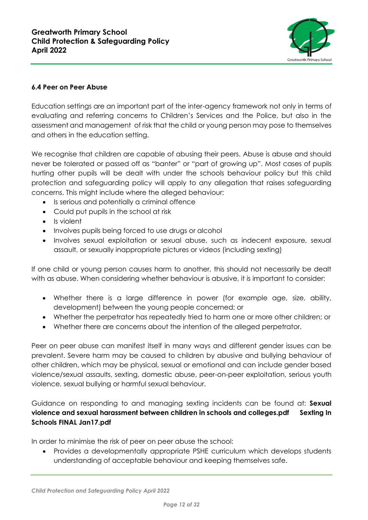

## **6.4 Peer on Peer Abuse**

Education settings are an important part of the inter-agency framework not only in terms of evaluating and referring concerns to Children's Services and the Police, but also in the assessment and management of risk that the child or young person may pose to themselves and others in the education setting.

We recognise that children are capable of abusing their peers. Abuse is abuse and should never be tolerated or passed off as "banter" or "part of growing up". Most cases of pupils hurting other pupils will be dealt with under the schools behaviour policy but this child protection and safeguarding policy will apply to any allegation that raises safeguarding concerns. This might include where the alleged behaviour:

- Is serious and potentially a criminal offence
- Could put pupils in the school at risk
- Is violent
- Involves pupils being forced to use drugs or alcohol
- Involves sexual exploitation or sexual abuse, such as indecent exposure, sexual assault, or sexually inappropriate pictures or videos (including sexting)

If one child or young person causes harm to another, this should not necessarily be dealt with as abuse. When considering whether behaviour is abusive, it is important to consider:

- Whether there is a large difference in power (for example age, size, ability, development) between the young people concerned; or
- Whether the perpetrator has repeatedly tried to harm one or more other children; or
- Whether there are concerns about the intention of the alleged perpetrator.

Peer on peer abuse can manifest itself in many ways and different gender issues can be prevalent. Severe harm may be caused to children by abusive and bullying behaviour of other children, which may be physical, sexual or emotional and can include gender based violence/sexual assaults, sexting, domestic abuse, peer-on-peer exploitation, serious youth violence, sexual bullying or harmful sexual behaviour.

Guidance on responding to and managing sexting incidents can be found at: **[Sexual](https://assets.publishing.service.gov.uk/government/uploads/system/uploads/attachment_data/file/719902/Sexual_violence_and_sexual_harassment_between_children_in_schools_and_colleges.pdf)  [violence and sexual harassment between children in schools and colleges.pdf](https://assets.publishing.service.gov.uk/government/uploads/system/uploads/attachment_data/file/719902/Sexual_violence_and_sexual_harassment_between_children_in_schools_and_colleges.pdf) [Sexting In](https://assets.publishing.service.gov.uk/government/uploads/system/uploads/attachment_data/file/609874/6_2939_SP_NCA_Sexting_In_Schools_FINAL_Update_Jan17.pdf)  [Schools FINAL Jan17.pdf](https://assets.publishing.service.gov.uk/government/uploads/system/uploads/attachment_data/file/609874/6_2939_SP_NCA_Sexting_In_Schools_FINAL_Update_Jan17.pdf)**

In order to minimise the risk of peer on peer abuse the school:

• Provides a developmentally appropriate PSHE curriculum which develops students understanding of acceptable behaviour and keeping themselves safe.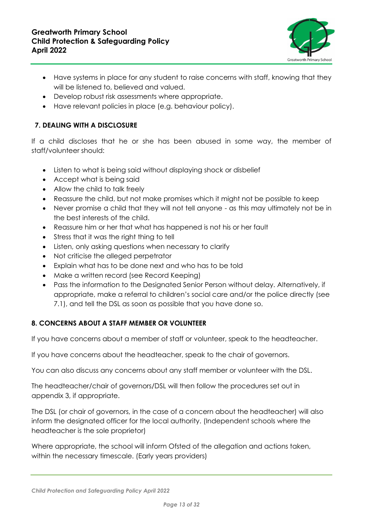

- Have systems in place for any student to raise concerns with staff, knowing that they will be listened to, believed and valued.
- Develop robust risk assessments where appropriate.
- Have relevant policies in place (e.g. behaviour policy).

## **7. DEALING WITH A DISCLOSURE**

If a child discloses that he or she has been abused in some way, the member of staff/volunteer should:

- Listen to what is being said without displaying shock or disbelief
- Accept what is being said
- Allow the child to talk freely
- Reassure the child, but not make promises which it might not be possible to keep
- Never promise a child that they will not tell anyone as this may ultimately not be in the best interests of the child.
- Reassure him or her that what has happened is not his or her fault
- Stress that it was the right thing to tell
- Listen, only asking questions when necessary to clarify
- Not criticise the alleged perpetrator
- Explain what has to be done next and who has to be told
- Make a written record (see Record Keeping)
- Pass the information to the Designated Senior Person without delay. Alternatively, if appropriate, make a referral to children's social care and/or the police directly (see 7.1), and tell the DSL as soon as possible that you have done so.

## **8. CONCERNS ABOUT A STAFF MEMBER OR VOLUNTEER**

If you have concerns about a member of staff or volunteer, speak to the headteacher.

If you have concerns about the headteacher, speak to the chair of governors.

You can also discuss any concerns about any staff member or volunteer with the DSL.

The headteacher/chair of governors/DSL will then follow the procedures set out in appendix 3, if appropriate.

The DSL (or chair of governors, in the case of a concern about the headteacher) will also inform the designated officer for the local authority. (Independent schools where the headteacher is the sole proprietor)

Where appropriate, the school will inform Ofsted of the allegation and actions taken, within the necessary timescale. (Early years providers)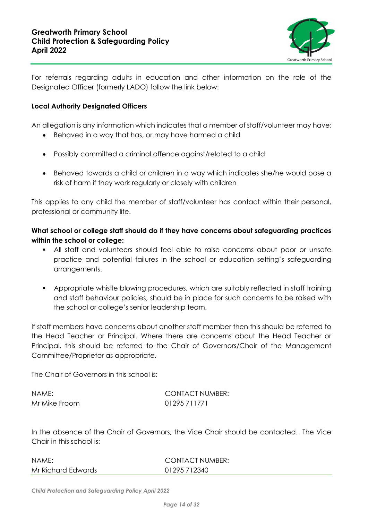

For referrals regarding adults in education and other information on the role of the Designated Officer (formerly LADO) follow the link below:

#### **[Local Authority Designated Officers](http://www.northamptonshirescb.org.uk/about-northamptonshire-safeguarding-children-board/who-is-who/designated-officer/)**

An allegation is any information which indicates that a member of staff/volunteer may have:

- Behaved in a way that has, or may have harmed a child
- Possibly committed a criminal offence against/related to a child
- Behaved towards a child or children in a way which indicates she/he would pose a risk of harm if they work regularly or closely with children

This applies to any child the member of staff/volunteer has contact within their personal, professional or community life.

## **What school or college staff should do if they have concerns about safeguarding practices within the school or college:**

- All staff and volunteers should feel able to raise concerns about poor or unsafe practice and potential failures in the school or education setting's safeguarding arrangements.
- Appropriate whistle blowing procedures, which are suitably reflected in staff training and staff behaviour policies, should be in place for such concerns to be raised with the school or college's senior leadership team.

If staff members have concerns about another staff member then this should be referred to the Head Teacher or Principal. Where there are concerns about the Head Teacher or Principal, this should be referred to the Chair of Governors/Chair of the Management Committee/Proprietor as appropriate.

The Chair of Governors in this school is:

| NAME:           | CONTACT NUMBER: |
|-----------------|-----------------|
| Mr Mike Froom . | 01295 711771    |

In the absence of the Chair of Governors, the Vice Chair should be contacted. The Vice Chair in this school is:

| NAME:              | <b>CONTACT NUMBER:</b> |
|--------------------|------------------------|
| Mr Richard Edwards | 01295 712340           |

*Child Protection and Safeguarding Policy April 2022*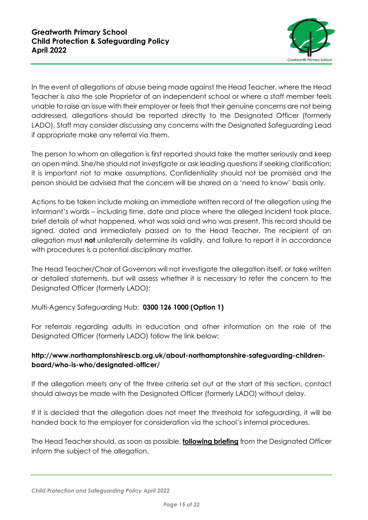

In the event of allegations of abuse being made against the Head Teacher, where the Head Teacher is also the sole Proprietor of an independent school or where a staff member feels unable to raise an issue with their employer or feels that their genuine concerns are not being addressed, allegations should be reported directly to the Designated Officer (formerly LADO). Staff may consider discussing any concerns with the Designated Safeguarding Lead if appropriate make any referral via them.

The person to whom an allegation is first reported should take the matter seriously and keep an open mind. She/he should not investigate or ask leading questions if seeking clarification; it is important not to make assumptions. Confidentiality should not be promised and the person should be advised that the concern will be shared on a 'need to know' basis only.

Actions to be taken include making an immediate written record of the allegation using the informant's words – including time, date and place where the alleged incident took place, brief details of what happened, what was said and who was present. This record should be signed, dated and immediately passed on to the Head Teacher. The recipient of an allegation must **not** unilaterally determine its validity, and failure to report it in accordance with procedures is a potential disciplinary matter.

The Head Teacher/Chair of Governors will not investigate the allegation itself, or take written or detailed statements, but will assess whether it is necessary to refer the concern to the Designated Officer (formerly LADO):

Multi-Agency Safeguarding Hub: **0300 126 1000 (Option 1)**

For referrals regarding adults in education and other information on the role of the Designated Officer (formerly LADO) follow the link below:

## **[http://www.northamptonshirescb.org.uk/about-northamptonshire-safeguarding-children](http://www.northamptonshirescb.org.uk/about-northamptonshire-safeguarding-children-board/who-is-who/designated-officer/)[board/who-is-who/designated-officer/](http://www.northamptonshirescb.org.uk/about-northamptonshire-safeguarding-children-board/who-is-who/designated-officer/)**

If the allegation meets any of the three criteria set out at the start of this section, contact should always be made with the Designated Officer (formerly LADO) without delay.

If it is decided that the allegation does not meet the threshold for safeguarding, it will be handed back to the employer for consideration via the school's internal procedures.

The Head Teacher should, as soon as possible, **following briefing** from the Designated Officer inform the subject of the allegation.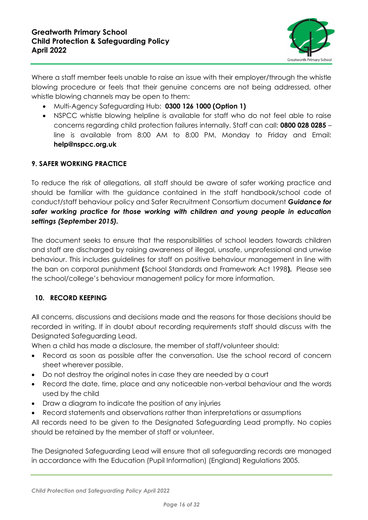

Where a staff member feels unable to raise an issue with their employer/through the whistle blowing procedure or feels that their genuine concerns are not being addressed, other whistle blowing channels may be open to them:

- Multi-Agency Safeguarding Hub: **0300 126 1000 (Option 1)**
- NSPCC whistle blowing helpline is available for staff who do not feel able to raise concerns regarding child protection failures internally. Staff can call: **0800 028 0285** – line is available from 8:00 AM to 8:00 PM, Monday to Friday and Email: **help@nspcc.org.uk**

## **9. SAFER WORKING PRACTICE**

To reduce the risk of allegations, all staff should be aware of safer working practice and should be familiar with the guidance contained in the staff handbook/school code of conduct/staff behaviour policy and Safer Recruitment Consortium document *Guidance for safer working practice for those working with children and young people in education settings (September 2015).*

The document seeks to ensure that the responsibilities of school leaders towards children and staff are discharged by raising awareness of illegal, unsafe, unprofessional and unwise behaviour. This includes guidelines for staff on positive behaviour management in line with the ban on corporal punishment **(**School Standards and Framework Act 1998**).** Please see the school/college's behaviour management policy for more information.

## **10. RECORD KEEPING**

All concerns, discussions and decisions made and the reasons for those decisions should be recorded in writing. If in doubt about recording requirements staff should discuss with the Designated Safeguarding Lead.

When a child has made a disclosure, the member of staff/volunteer should:

- Record as soon as possible after the conversation. Use the school record of concern sheet wherever possible.
- Do not destroy the original notes in case they are needed by a court
- Record the date, time, place and any noticeable non-verbal behaviour and the words used by the child
- Draw a diagram to indicate the position of any injuries
- Record statements and observations rather than interpretations or assumptions

All records need to be given to the Designated Safeguarding Lead promptly. No copies should be retained by the member of staff or volunteer.

The Designated Safeguarding Lead will ensure that all safeguarding records are managed in accordance with the Education (Pupil Information) (England) Regulations 2005.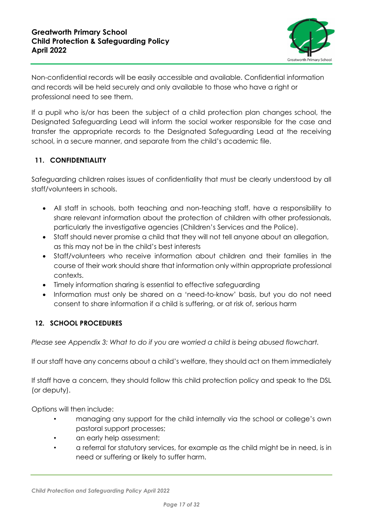

Non-confidential records will be easily accessible and available. Confidential information and records will be held securely and only available to those who have a right or professional need to see them.

If a pupil who is/or has been the subject of a child protection plan changes school, the Designated Safeguarding Lead will inform the social worker responsible for the case and transfer the appropriate records to the Designated Safeguarding Lead at the receiving school, in a secure manner, and separate from the child's academic file.

## **11. CONFIDENTIALITY**

Safeguarding children raises issues of confidentiality that must be clearly understood by all staff/volunteers in schools.

- All staff in schools, both teaching and non-teaching staff, have a responsibility to share relevant information about the protection of children with other professionals, particularly the investigative agencies (Children's Services and the Police).
- Staff should never promise a child that they will not tell anyone about an allegation, as this may not be in the child's best interests
- Staff/volunteers who receive information about children and their families in the course of their work should share that information only within appropriate professional contexts.
- Timely information sharing is essential to effective safeguarding
- Information must only be shared on a 'need-to-know' basis, but you do not need consent to share information if a child is suffering, or at risk of, serious harm

## **12. SCHOOL PROCEDURES**

*Please see Appendix 3: What to do if you are worried a child is being abused flowchart.*

If our staff have any concerns about a child's welfare, they should act on them immediately

If staff have a concern, they should follow this child protection policy and speak to the DSL (or deputy).

Options will then include:

- managing any support for the child internally via the school or college's own pastoral support processes;
- an early help assessment;
- a referral for statutory services, for example as the child might be in need, is in need or suffering or likely to suffer harm.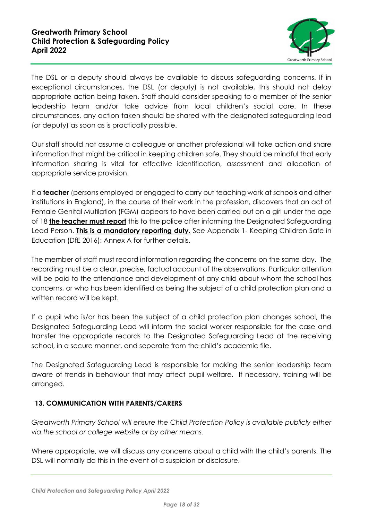

The DSL or a deputy should always be available to discuss safeguarding concerns. If in exceptional circumstances, the DSL (or deputy) is not available, this should not delay appropriate action being taken. Staff should consider speaking to a member of the senior leadership team and/or take advice from local children's social care. In these circumstances, any action taken should be shared with the designated safeguarding lead (or deputy) as soon as is practically possible.

Our staff should not assume a colleague or another professional will take action and share information that might be critical in keeping children safe. They should be mindful that early information sharing is vital for effective identification, assessment and allocation of appropriate service provision.

If a **teacher** (persons employed or engaged to carry out teaching work at schools and other institutions in England), in the course of their work in the profession, discovers that an act of Female Genital Mutilation (FGM) appears to have been carried out on a girl under the age of 18 **the teacher must report** this to the police after informing the Designated Safeguarding Lead Person. **This is a mandatory reporting duty.** See Appendix 1- Keeping Children Safe in Education (DfE 2016): Annex A for further details.

The member of staff must record information regarding the concerns on the same day. The recording must be a clear, precise, factual account of the observations. Particular attention will be paid to the attendance and development of any child about whom the school has concerns, or who has been identified as being the subject of a child protection plan and a written record will be kept.

If a pupil who is/or has been the subject of a child protection plan changes school, the Designated Safeguarding Lead will inform the social worker responsible for the case and transfer the appropriate records to the Designated Safeguarding Lead at the receiving school, in a secure manner, and separate from the child's academic file.

The Designated Safeguarding Lead is responsible for making the senior leadership team aware of trends in behaviour that may affect pupil welfare. If necessary, training will be arranged.

## **13. COMMUNICATION WITH PARENTS/CARERS**

*Greatworth Primary School will ensure the Child Protection Policy is available publicly either via the school or college website or by other means.*

Where appropriate, we will discuss any concerns about a child with the child's parents. The DSL will normally do this in the event of a suspicion or disclosure.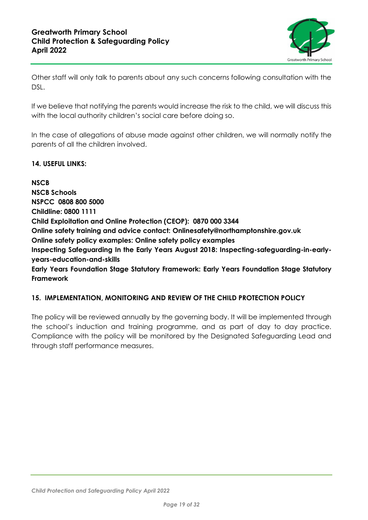

Other staff will only talk to parents about any such concerns following consultation with the DSL.

If we believe that notifying the parents would increase the risk to the child, we will discuss this with the local authority children's social care before doing so.

In the case of allegations of abuse made against other children, we will normally notify the parents of all the children involved.

## **14. USEFUL LINKS:**

**[NSCB](http://www.northamptonshirescb.org.uk/)  [NSCB Schools](http://www.northamptonshirescb.org.uk/schools/) [NSPCC](https://www.nspcc.org.uk/) 0808 800 5000 [Childline:](https://www.childline.org.uk/) 0800 1111 [Child Exploitation and Online Protection \(CEOP\):](http://ceop.police.uk/) 0870 000 3344 Online safety training and advice contact: [Onlinesafety@northamptonshire.gov.uk](mailto:Onlinesafety@northamptonshire.gov.uk) Online safety policy examples: [Online safety policy examples](http://swgfl.org.uk/products-services/esafety/resources/online-safety-policy-templates) Inspecting Safeguarding In the Early Years August 2018: [Inspecting-safeguarding-in-early](http://www.gov.uk/government/publications/inspecting-safeguarding-in-early-years-education-and-skills-from-september-2015)[years-education-and-skills](http://www.gov.uk/government/publications/inspecting-safeguarding-in-early-years-education-and-skills-from-september-2015) Early Years Foundation Stage Statutory Framework: [Early Years Foundation Stage Statutory](https://www.foundationyears.org.uk/eyfs-statutory-framework/)  [Framework](https://www.foundationyears.org.uk/eyfs-statutory-framework/)**

## **15. IMPLEMENTATION, MONITORING AND REVIEW OF THE CHILD PROTECTION POLICY**

The policy will be reviewed annually by the governing body. It will be implemented through the school's induction and training programme, and as part of day to day practice. Compliance with the policy will be monitored by the Designated Safeguarding Lead and through staff performance measures.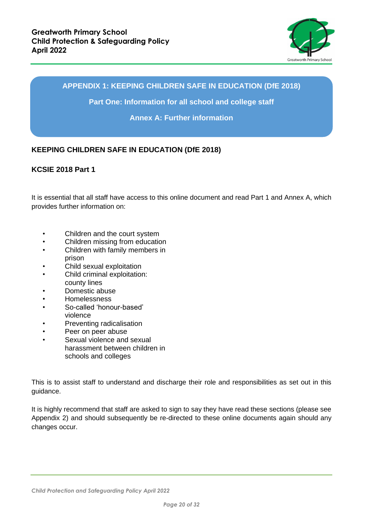

## **APPENDIX 1: KEEPING CHILDREN SAFE IN EDUCATION (DfE 2018)**

**Part One: Information for all school and college staff**

## **Annex A: Further information**

## **KEEPING CHILDREN SAFE IN EDUCATION (DfE 2018)**

## **[KCSIE 2018 Part 1](https://assets.publishing.service.gov.uk/government/uploads/system/uploads/attachment_data/file/737606/Keeping_children_safe_in_education_part_1_Sept_2018.pdf)**

It is essential that all staff have access to this online document and read Part 1 and Annex A, which provides further information on:

- Children and the court system
- Children missing from education
- Children with family members in prison
- Child sexual exploitation
- Child criminal exploitation: county lines
- Domestic abuse
- Homelessness
- So-called 'honour-based' violence
- Preventing radicalisation
- Peer on peer abuse
- Sexual violence and sexual harassment between children in schools and colleges

This is to assist staff to understand and discharge their role and responsibilities as set out in this guidance.

It is highly recommend that staff are asked to sign to say they have read these sections (please see Appendix 2) and should subsequently be re-directed to these online documents again should any changes occur.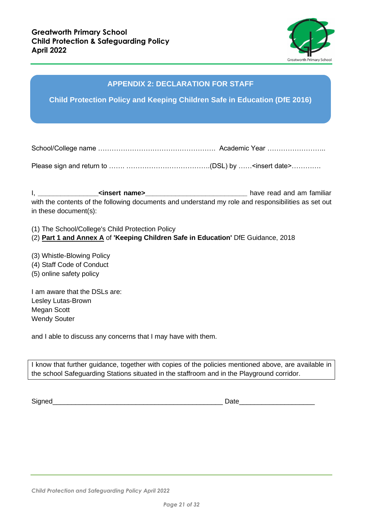

## **APPENDIX 2: DECLARATION FOR STAFF**

**Child Protection Policy and Keeping Children Safe in Education (DfE 2016)** 

School/College name ……………………………………………. Academic Year ……………………..

Please sign and return to ……. ………………………………………(DSL) by ……<insert date>…………

I, **and insert name>** and a strategies and a strategies of the strategies of the strategies of the strategies of the strategies of the strategies of the strategies of the strategies of the strategies of the strategies of t with the contents of the following documents and understand my role and responsibilities as set out in these document(s):

(1) The School/College's Child Protection Policy

(2) **Part 1 and Annex A** of **'Keeping Children Safe in Education'** DfE Guidance, 2018

(3) Whistle-Blowing Policy

(4) Staff Code of Conduct

(5) online safety policy

I am aware that the DSLs are: Lesley Lutas-Brown Megan Scott Wendy Souter

and I able to discuss any concerns that I may have with them.

I know that further guidance, together with copies of the policies mentioned above, are available in the school Safeguarding Stations situated in the staffroom and in the Playground corridor.

Signed\_\_\_\_\_\_\_\_\_\_\_\_\_\_\_\_\_\_\_\_\_\_\_\_\_\_\_\_\_\_\_\_\_\_\_\_\_\_\_\_\_\_\_\_\_ Date\_\_\_\_\_\_\_\_\_\_\_\_\_\_\_\_\_\_\_\_

*Child Protection and Safeguarding Policy April 2022*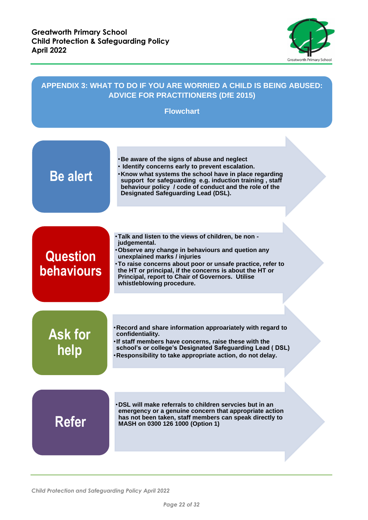

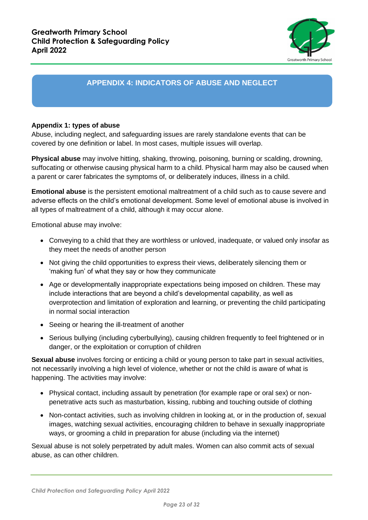

## **APPENDIX 4: INDICATORS OF ABUSE AND NEGLECT**

#### **Appendix 1: types of abuse**

Abuse, including neglect, and safeguarding issues are rarely standalone events that can be covered by one definition or label. In most cases, multiple issues will overlap.

**Physical abuse** may involve hitting, shaking, throwing, poisoning, burning or scalding, drowning, suffocating or otherwise causing physical harm to a child. Physical harm may also be caused when a parent or carer fabricates the symptoms of, or deliberately induces, illness in a child.

**Emotional abuse** is the persistent emotional maltreatment of a child such as to cause severe and adverse effects on the child's emotional development. Some level of emotional abuse is involved in all types of maltreatment of a child, although it may occur alone.

Emotional abuse may involve:

- Conveying to a child that they are worthless or unloved, inadequate, or valued only insofar as they meet the needs of another person
- Not giving the child opportunities to express their views, deliberately silencing them or 'making fun' of what they say or how they communicate
- Age or developmentally inappropriate expectations being imposed on children. These may include interactions that are beyond a child's developmental capability, as well as overprotection and limitation of exploration and learning, or preventing the child participating in normal social interaction
- Seeing or hearing the ill-treatment of another
- Serious bullying (including cyberbullying), causing children frequently to feel frightened or in danger, or the exploitation or corruption of children

**Sexual abuse** involves forcing or enticing a child or young person to take part in sexual activities, not necessarily involving a high level of violence, whether or not the child is aware of what is happening. The activities may involve:

- Physical contact, including assault by penetration (for example rape or oral sex) or nonpenetrative acts such as masturbation, kissing, rubbing and touching outside of clothing
- Non-contact activities, such as involving children in looking at, or in the production of, sexual images, watching sexual activities, encouraging children to behave in sexually inappropriate ways, or grooming a child in preparation for abuse (including via the internet)

Sexual abuse is not solely perpetrated by adult males. Women can also commit acts of sexual abuse, as can other children.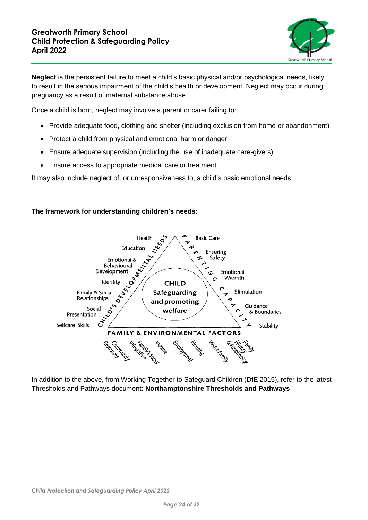

**Neglect** is the persistent failure to meet a child's basic physical and/or psychological needs, likely to result in the serious impairment of the child's health or development. Neglect may occur during pregnancy as a result of maternal substance abuse.

Once a child is born, neglect may involve a parent or carer failing to:

- Provide adequate food, clothing and shelter (including exclusion from home or abandonment)
- Protect a child from physical and emotional harm or danger
- Ensure adequate supervision (including the use of inadequate care-givers)
- Ensure access to appropriate medical care or treatment

It may also include neglect of, or unresponsiveness to, a child's basic emotional needs.

#### **The framework for understanding children's needs:**



In addition to the above, from Working Together to Safeguard Children (DfE 2015), refer to the latest Thresholds and Pathways document: **[Northamptonshire Thresholds and Pathways](http://www.northamptonshirescb.org.uk/schools/toolkits-docs-schools/thresholds-and-pathways/)**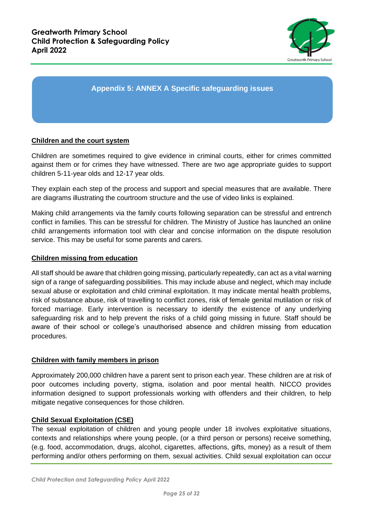

## **Appendix 5: ANNEX A Specific safeguarding issues**

#### **Children and the court system**

Children are sometimes required to give evidence in criminal courts, either for crimes committed against them or for crimes they have witnessed. There are two age appropriate guides to support children 5-11-year olds and 12-17 year olds.

They explain each step of the process and support and special measures that are available. There are diagrams illustrating the courtroom structure and the use of video links is explained.

Making child arrangements via the family courts following separation can be stressful and entrench conflict in families. This can be stressful for children. The Ministry of Justice has launched an online child arrangements information tool with clear and concise information on the dispute resolution service. This may be useful for some parents and carers.

#### **Children missing from education**

All staff should be aware that children going missing, particularly repeatedly, can act as a vital warning sign of a range of safeguarding possibilities. This may include abuse and neglect, which may include sexual abuse or exploitation and child criminal exploitation. It may indicate mental health problems, risk of substance abuse, risk of travelling to conflict zones, risk of female genital mutilation or risk of forced marriage. Early intervention is necessary to identify the existence of any underlying safeguarding risk and to help prevent the risks of a child going missing in future. Staff should be aware of their school or college's unauthorised absence and children missing from education procedures.

#### **Children with family members in prison**

Approximately 200,000 children have a parent sent to prison each year. These children are at risk of poor outcomes including poverty, stigma, isolation and poor mental health. NICCO provides information designed to support professionals working with offenders and their children, to help mitigate negative consequences for those children.

#### **Child Sexual Exploitation (CSE)**

The sexual exploitation of children and young people under 18 involves exploitative situations, contexts and relationships where young people, (or a third person or persons) receive something, (e.g. food, accommodation, drugs, alcohol, cigarettes, affections, gifts, money) as a result of them performing and/or others performing on them, sexual activities. Child sexual exploitation can occur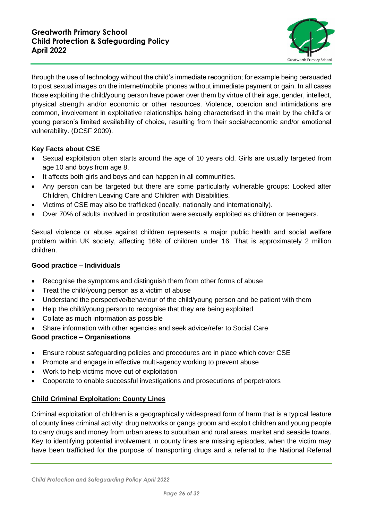

through the use of technology without the child's immediate recognition; for example being persuaded to post sexual images on the internet/mobile phones without immediate payment or gain. In all cases those exploiting the child/young person have power over them by virtue of their age, gender, intellect, physical strength and/or economic or other resources. Violence, coercion and intimidations are common, involvement in exploitative relationships being characterised in the main by the child's or young person's limited availability of choice, resulting from their social/economic and/or emotional vulnerability. (DCSF 2009).

#### **Key Facts about CSE**

- Sexual exploitation often starts around the age of 10 years old. Girls are usually targeted from age 10 and boys from age 8.
- It affects both girls and boys and can happen in all communities.
- Any person can be targeted but there are some particularly vulnerable groups: Looked after Children, Children Leaving Care and Children with Disabilities.
- Victims of CSE may also be trafficked (locally, nationally and internationally).
- Over 70% of adults involved in prostitution were sexually exploited as children or teenagers.

Sexual violence or abuse against children represents a major public health and social welfare problem within UK society, affecting 16% of children under 16. That is approximately 2 million children.

#### **Good practice – Individuals**

- Recognise the symptoms and distinguish them from other forms of abuse
- Treat the child/young person as a victim of abuse
- Understand the perspective/behaviour of the child/young person and be patient with them
- Help the child/young person to recognise that they are being exploited
- Collate as much information as possible
- Share information with other agencies and seek advice/refer to Social Care

#### **Good practice – Organisations**

- Ensure robust safeguarding policies and procedures are in place which cover CSE
- Promote and engage in effective multi-agency working to prevent abuse
- Work to help victims move out of exploitation
- Cooperate to enable successful investigations and prosecutions of perpetrators

## **Child Criminal Exploitation: County Lines**

Criminal exploitation of children is a geographically widespread form of harm that is a typical feature of county lines criminal activity: drug networks or gangs groom and exploit children and young people to carry drugs and money from urban areas to suburban and rural areas, market and seaside towns. Key to identifying potential involvement in county lines are missing episodes, when the victim may have been trafficked for the purpose of transporting drugs and a referral to the National Referral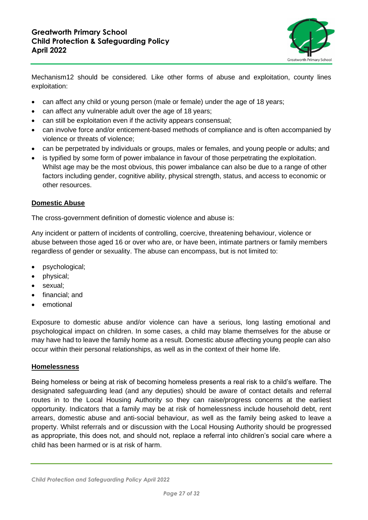

Mechanism12 should be considered. Like other forms of abuse and exploitation, county lines exploitation:

- can affect any child or young person (male or female) under the age of 18 years;
- can affect any vulnerable adult over the age of 18 years;
- can still be exploitation even if the activity appears consensual;
- can involve force and/or enticement-based methods of compliance and is often accompanied by violence or threats of violence;
- can be perpetrated by individuals or groups, males or females, and young people or adults; and
- is typified by some form of power imbalance in favour of those perpetrating the exploitation. Whilst age may be the most obvious, this power imbalance can also be due to a range of other factors including gender, cognitive ability, physical strength, status, and access to economic or other resources.

#### **Domestic Abuse**

The cross-government definition of domestic violence and abuse is:

Any incident or pattern of incidents of controlling, coercive, threatening behaviour, violence or abuse between those aged 16 or over who are, or have been, intimate partners or family members regardless of gender or sexuality. The abuse can encompass, but is not limited to:

- psychological;
- physical;
- sexual;
- financial: and
- emotional

Exposure to domestic abuse and/or violence can have a serious, long lasting emotional and psychological impact on children. In some cases, a child may blame themselves for the abuse or may have had to leave the family home as a result. Domestic abuse affecting young people can also occur within their personal relationships, as well as in the context of their home life.

#### **Homelessness**

Being homeless or being at risk of becoming homeless presents a real risk to a child's welfare. The designated safeguarding lead (and any deputies) should be aware of contact details and referral routes in to the Local Housing Authority so they can raise/progress concerns at the earliest opportunity. Indicators that a family may be at risk of homelessness include household debt, rent arrears, domestic abuse and anti-social behaviour, as well as the family being asked to leave a property. Whilst referrals and or discussion with the Local Housing Authority should be progressed as appropriate, this does not, and should not, replace a referral into children's social care where a child has been harmed or is at risk of harm.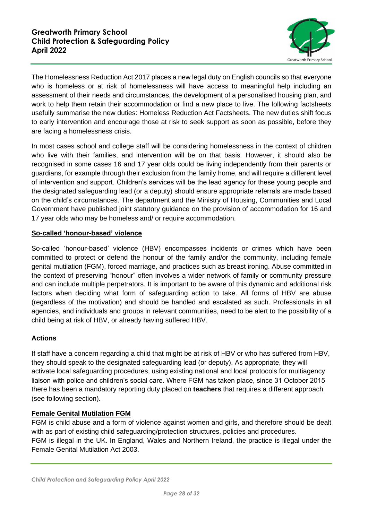

The Homelessness Reduction Act 2017 places a new legal duty on English councils so that everyone who is homeless or at risk of homelessness will have access to meaningful help including an assessment of their needs and circumstances, the development of a personalised housing plan, and work to help them retain their accommodation or find a new place to live. The following factsheets usefully summarise the new duties: Homeless Reduction Act Factsheets. The new duties shift focus to early intervention and encourage those at risk to seek support as soon as possible, before they are facing a homelessness crisis.

In most cases school and college staff will be considering homelessness in the context of children who live with their families, and intervention will be on that basis. However, it should also be recognised in some cases 16 and 17 year olds could be living independently from their parents or guardians, for example through their exclusion from the family home, and will require a different level of intervention and support. Children's services will be the lead agency for these young people and the designated safeguarding lead (or a deputy) should ensure appropriate referrals are made based on the child's circumstances. The department and the Ministry of Housing, Communities and Local Government have published joint statutory guidance on the provision of accommodation for 16 and 17 year olds who may be homeless and/ or require accommodation.

#### **So-called 'honour-based' violence**

So-called 'honour-based' violence (HBV) encompasses incidents or crimes which have been committed to protect or defend the honour of the family and/or the community, including female genital mutilation (FGM), forced marriage, and practices such as breast ironing. Abuse committed in the context of preserving "honour" often involves a wider network of family or community pressure and can include multiple perpetrators. It is important to be aware of this dynamic and additional risk factors when deciding what form of safeguarding action to take. All forms of HBV are abuse (regardless of the motivation) and should be handled and escalated as such. Professionals in all agencies, and individuals and groups in relevant communities, need to be alert to the possibility of a child being at risk of HBV, or already having suffered HBV.

#### **Actions**

If staff have a concern regarding a child that might be at risk of HBV or who has suffered from HBV, they should speak to the designated safeguarding lead (or deputy). As appropriate, they will activate local safeguarding procedures, using existing national and local protocols for multiagency liaison with police and children's social care. Where FGM has taken place, since 31 October 2015 there has been a mandatory reporting duty placed on **teachers** that requires a different approach (see following section).

#### **Female Genital Mutilation FGM**

FGM is child abuse and a form of violence against women and girls, and therefore should be dealt with as part of existing child safeguarding/protection structures, policies and procedures. FGM is illegal in the UK. In England, Wales and Northern Ireland, the practice is illegal under the Female Genital Mutilation Act 2003.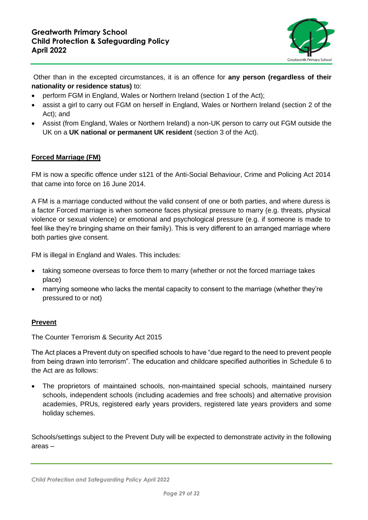

Other than in the excepted circumstances, it is an offence for **any person (regardless of their nationality or residence status)** to:

- perform FGM in England, Wales or Northern Ireland (section 1 of the Act);
- assist a girl to carry out FGM on herself in England, Wales or Northern Ireland (section 2 of the Act); and
- Assist (from England, Wales or Northern Ireland) a non-UK person to carry out FGM outside the UK on a **UK national or permanent UK resident** (section 3 of the Act).

#### **Forced Marriage (FM)**

FM is now a specific offence under s121 of the Anti-Social Behaviour, Crime and Policing Act 2014 that came into force on 16 June 2014.

A FM is a marriage conducted without the valid consent of one or both parties, and where duress is a factor Forced marriage is when someone faces physical pressure to marry (e.g. threats, physical violence or sexual violence) or emotional and psychological pressure (e.g. if someone is made to feel like they're bringing shame on their family). This is very different to an arranged marriage where both parties give consent.

FM is illegal in England and Wales. This includes:

- taking someone overseas to force them to marry (whether or not the forced marriage takes place)
- marrying someone who lacks the mental capacity to consent to the marriage (whether they're pressured to or not)

#### **Prevent**

The Counter Terrorism & Security Act 2015

The Act places a Prevent duty on specified schools to have "due regard to the need to prevent people from being drawn into terrorism". The education and childcare specified authorities in Schedule 6 to the Act are as follows:

• The proprietors of maintained schools, non-maintained special schools, maintained nursery schools, independent schools (including academies and free schools) and alternative provision academies, PRUs, registered early years providers, registered late years providers and some holiday schemes.

Schools/settings subject to the Prevent Duty will be expected to demonstrate activity in the following areas –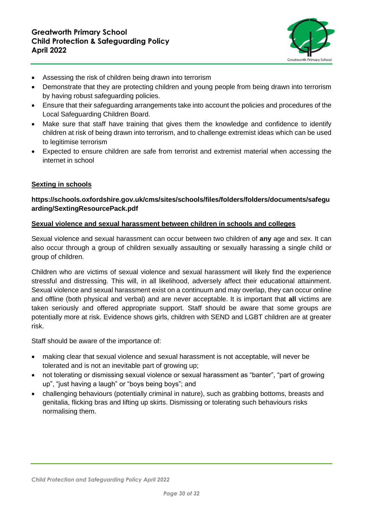

- Assessing the risk of children being drawn into terrorism
- Demonstrate that they are protecting children and young people from being drawn into terrorism by having robust safeguarding policies.
- Ensure that their safeguarding arrangements take into account the policies and procedures of the Local Safeguarding Children Board.
- Make sure that staff have training that gives them the knowledge and confidence to identify children at risk of being drawn into terrorism, and to challenge extremist ideas which can be used to legitimise terrorism
- Expected to ensure children are safe from terrorist and extremist material when accessing the internet in school

#### **Sexting in schools**

## **[https://schools.oxfordshire.gov.uk/cms/sites/schools/files/folders/folders/documents/safegu](https://schools.oxfordshire.gov.uk/cms/sites/schools/files/folders/folders/documents/safeguarding/SextingResourcePack.pdf) [arding/SextingResourcePack.pdf](https://schools.oxfordshire.gov.uk/cms/sites/schools/files/folders/folders/documents/safeguarding/SextingResourcePack.pdf)**

#### **Sexual violence and sexual harassment between children in schools and colleges**

Sexual violence and sexual harassment can occur between two children of **any** age and sex. It can also occur through a group of children sexually assaulting or sexually harassing a single child or group of children.

Children who are victims of sexual violence and sexual harassment will likely find the experience stressful and distressing. This will, in all likelihood, adversely affect their educational attainment. Sexual violence and sexual harassment exist on a continuum and may overlap, they can occur online and offline (both physical and verbal) and are never acceptable. It is important that **all** victims are taken seriously and offered appropriate support. Staff should be aware that some groups are potentially more at risk. Evidence shows girls, children with SEND and LGBT children are at greater risk.

Staff should be aware of the importance of:

- making clear that sexual violence and sexual harassment is not acceptable, will never be tolerated and is not an inevitable part of growing up;
- not tolerating or dismissing sexual violence or sexual harassment as "banter", "part of growing up", "just having a laugh" or "boys being boys"; and
- challenging behaviours (potentially criminal in nature), such as grabbing bottoms, breasts and genitalia, flicking bras and lifting up skirts. Dismissing or tolerating such behaviours risks normalising them.

*Child Protection and Safeguarding Policy April 2022*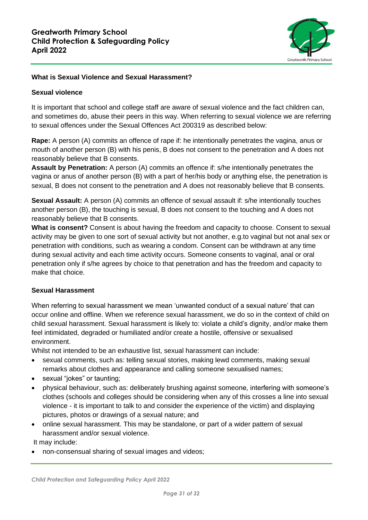

#### **What is Sexual Violence and Sexual Harassment?**

#### **Sexual violence**

It is important that school and college staff are aware of sexual violence and the fact children can, and sometimes do, abuse their peers in this way. When referring to sexual violence we are referring to sexual offences under the Sexual Offences Act 200319 as described below:

**Rape:** A person (A) commits an offence of rape if: he intentionally penetrates the vagina, anus or mouth of another person (B) with his penis, B does not consent to the penetration and A does not reasonably believe that B consents.

**Assault by Penetration:** A person (A) commits an offence if: s/he intentionally penetrates the vagina or anus of another person (B) with a part of her/his body or anything else, the penetration is sexual, B does not consent to the penetration and A does not reasonably believe that B consents.

**Sexual Assault:** A person (A) commits an offence of sexual assault if: s/he intentionally touches another person (B), the touching is sexual, B does not consent to the touching and A does not reasonably believe that B consents.

**What is consent?** Consent is about having the freedom and capacity to choose. Consent to sexual activity may be given to one sort of sexual activity but not another, e.g.to vaginal but not anal sex or penetration with conditions, such as wearing a condom. Consent can be withdrawn at any time during sexual activity and each time activity occurs. Someone consents to vaginal, anal or oral penetration only if s/he agrees by choice to that penetration and has the freedom and capacity to make that choice.

#### **Sexual Harassment**

When referring to sexual harassment we mean 'unwanted conduct of a sexual nature' that can occur online and offline. When we reference sexual harassment, we do so in the context of child on child sexual harassment. Sexual harassment is likely to: violate a child's dignity, and/or make them feel intimidated, degraded or humiliated and/or create a hostile, offensive or sexualised environment.

Whilst not intended to be an exhaustive list, sexual harassment can include:

- sexual comments, such as: telling sexual stories, making lewd comments, making sexual remarks about clothes and appearance and calling someone sexualised names;
- sexual "jokes" or taunting:
- physical behaviour, such as: deliberately brushing against someone, interfering with someone's clothes (schools and colleges should be considering when any of this crosses a line into sexual violence - it is important to talk to and consider the experience of the victim) and displaying pictures, photos or drawings of a sexual nature; and
- online sexual harassment. This may be standalone, or part of a wider pattern of sexual harassment and/or sexual violence.

It may include:

• non-consensual sharing of sexual images and videos;